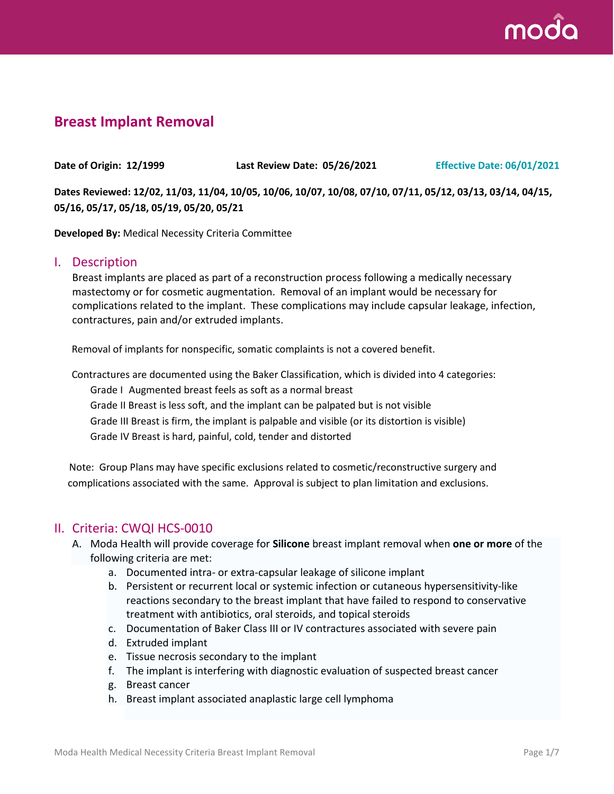

# **Breast Implant Removal**

**Date of Origin: 12/1999 Last Review Date: 05/26/2021 Effective Date: 06/01/2021**

**Dates Reviewed: 12/02, 11/03, 11/04, 10/05, 10/06, 10/07, 10/08, 07/10, 07/11, 05/12, 03/13, 03/14, 04/15, 05/16, 05/17, 05/18, 05/19, 05/20, 05/21**

**Developed By:** Medical Necessity Criteria Committee

### I. Description

Breast implants are placed as part of a reconstruction process following a medically necessary mastectomy or for cosmetic augmentation. Removal of an implant would be necessary for complications related to the implant. These complications may include capsular leakage, infection, contractures, pain and/or extruded implants.

Removal of implants for nonspecific, somatic complaints is not a covered benefit.

Contractures are documented using the Baker Classification, which is divided into 4 categories:

Grade I Augmented breast feels as soft as a normal breast

Grade II Breast is less soft, and the implant can be palpated but is not visible

Grade III Breast is firm, the implant is palpable and visible (or its distortion is visible)

Grade IV Breast is hard, painful, cold, tender and distorted

 Note: Group Plans may have specific exclusions related to cosmetic/reconstructive surgery and complications associated with the same. Approval is subject to plan limitation and exclusions.

### II. Criteria: CWQI HCS-0010

- A. Moda Health will provide coverage for **Silicone** breast implant removal when **one or more** of the following criteria are met:
	- a. Documented intra- or extra-capsular leakage of silicone implant
	- b. Persistent or recurrent local or systemic infection or cutaneous hypersensitivity-like reactions secondary to the breast implant that have failed to respond to conservative treatment with antibiotics, oral steroids, and topical steroids
	- c. Documentation of Baker Class III or IV contractures associated with severe pain
	- d. Extruded implant
	- e. Tissue necrosis secondary to the implant
	- f. The implant is interfering with diagnostic evaluation of suspected breast cancer
	- g. Breast cancer
	- h. Breast implant associated anaplastic large cell lymphoma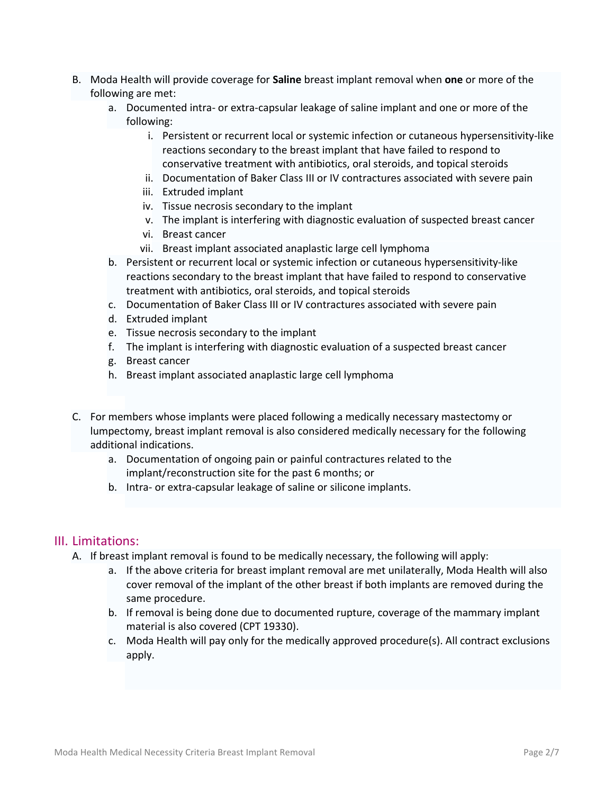- B. Moda Health will provide coverage for **Saline** breast implant removal when **one** or more of the following are met:
	- a. Documented intra- or extra-capsular leakage of saline implant and one or more of the following:
		- i. Persistent or recurrent local or systemic infection or cutaneous hypersensitivity-like reactions secondary to the breast implant that have failed to respond to conservative treatment with antibiotics, oral steroids, and topical steroids
		- ii. Documentation of Baker Class III or IV contractures associated with severe pain
		- iii. Extruded implant
		- iv. Tissue necrosis secondary to the implant
		- v. The implant is interfering with diagnostic evaluation of suspected breast cancer
		- vi. Breast cancer
		- vii. Breast implant associated anaplastic large cell lymphoma
	- b. Persistent or recurrent local or systemic infection or cutaneous hypersensitivity-like reactions secondary to the breast implant that have failed to respond to conservative treatment with antibiotics, oral steroids, and topical steroids
	- c. Documentation of Baker Class III or IV contractures associated with severe pain
	- d. Extruded implant
	- e. Tissue necrosis secondary to the implant
	- f. The implant is interfering with diagnostic evaluation of a suspected breast cancer
	- g. Breast cancer
	- h. Breast implant associated anaplastic large cell lymphoma
- C. For members whose implants were placed following a medically necessary mastectomy or lumpectomy, breast implant removal is also considered medically necessary for the following additional indications.
	- a. Documentation of ongoing pain or painful contractures related to the implant/reconstruction site for the past 6 months; or
	- b. Intra- or extra-capsular leakage of saline or silicone implants.

## III. Limitations:

- A. If breast implant removal is found to be medically necessary, the following will apply:
	- a. If the above criteria for breast implant removal are met unilaterally, Moda Health will also cover removal of the implant of the other breast if both implants are removed during the same procedure.
	- b. If removal is being done due to documented rupture, coverage of the mammary implant material is also covered (CPT 19330).
	- c. Moda Health will pay only for the medically approved procedure(s). All contract exclusions apply.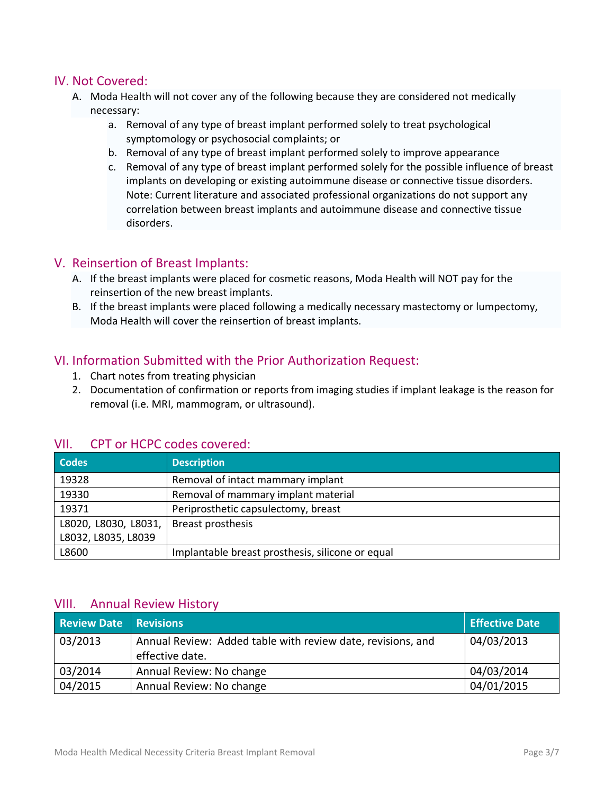## IV. Not Covered:

- A. Moda Health will not cover any of the following because they are considered not medically necessary:
	- a. Removal of any type of breast implant performed solely to treat psychological symptomology or psychosocial complaints; or
	- b. Removal of any type of breast implant performed solely to improve appearance
	- c. Removal of any type of breast implant performed solely for the possible influence of breast implants on developing or existing autoimmune disease or connective tissue disorders. Note: Current literature and associated professional organizations do not support any correlation between breast implants and autoimmune disease and connective tissue disorders.

## V. Reinsertion of Breast Implants:

- A. If the breast implants were placed for cosmetic reasons, Moda Health will NOT pay for the reinsertion of the new breast implants.
- B. If the breast implants were placed following a medically necessary mastectomy or lumpectomy, Moda Health will cover the reinsertion of breast implants.

## VI. Information Submitted with the Prior Authorization Request:

- 1. Chart notes from treating physician
- 2. Documentation of confirmation or reports from imaging studies if implant leakage is the reason for removal (i.e. MRI, mammogram, or ultrasound).

| <b>Codes</b>         | <b>Description</b>                               |
|----------------------|--------------------------------------------------|
| 19328                | Removal of intact mammary implant                |
| 19330                | Removal of mammary implant material              |
| 19371                | Periprosthetic capsulectomy, breast              |
| L8020, L8030, L8031, | Breast prosthesis                                |
| L8032, L8035, L8039  |                                                  |
| L8600                | Implantable breast prosthesis, silicone or equal |

## VII. CPT or HCPC codes covered:

### VIII. Annual Review History

| <b>Review Date</b> | <b>Revisions</b>                                                               | <b>Effective Date</b> |
|--------------------|--------------------------------------------------------------------------------|-----------------------|
| 03/2013            | Annual Review: Added table with review date, revisions, and<br>effective date. | 04/03/2013            |
| 03/2014            | Annual Review: No change                                                       | 04/03/2014            |
| 04/2015            | Annual Review: No change                                                       | 04/01/2015            |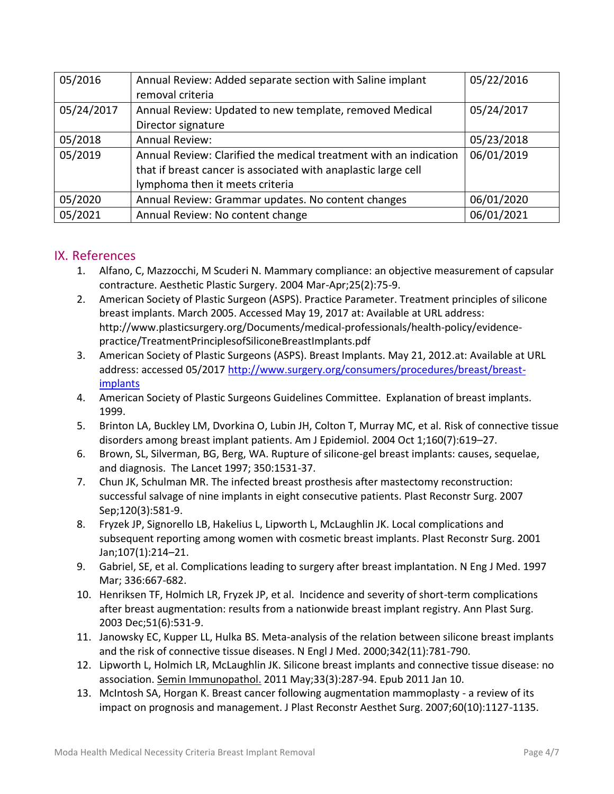| 05/2016    | Annual Review: Added separate section with Saline implant<br>removal criteria | 05/22/2016 |
|------------|-------------------------------------------------------------------------------|------------|
| 05/24/2017 |                                                                               | 05/24/2017 |
|            | Annual Review: Updated to new template, removed Medical                       |            |
|            | Director signature                                                            |            |
| 05/2018    | <b>Annual Review:</b>                                                         | 05/23/2018 |
| 05/2019    | Annual Review: Clarified the medical treatment with an indication             | 06/01/2019 |
|            | that if breast cancer is associated with anaplastic large cell                |            |
|            | lymphoma then it meets criteria                                               |            |
| 05/2020    | Annual Review: Grammar updates. No content changes                            | 06/01/2020 |
| 05/2021    | Annual Review: No content change                                              | 06/01/2021 |

# IX. References

- 1. Alfano, C, Mazzocchi, M Scuderi N. Mammary compliance: an objective measurement of capsular contracture. Aesthetic Plastic Surgery. 2004 Mar-Apr;25(2):75-9.
- 2. American Society of Plastic Surgeon (ASPS). Practice Parameter. Treatment principles of silicone breast implants. March 2005. Accessed May 19, 2017 at: Available at URL address: http://www.plasticsurgery.org/Documents/medical-professionals/health-policy/evidencepractice/TreatmentPrinciplesofSiliconeBreastImplants.pdf
- 3. American Society of Plastic Surgeons (ASPS). Breast Implants. May 21, 2012.at: Available at URL address: accessed 05/2017 [http://www.surgery.org/consumers/procedures/breast/breast](http://www.surgery.org/consumers/procedures/breast/breast-implants)[implants](http://www.surgery.org/consumers/procedures/breast/breast-implants)
- 4. American Society of Plastic Surgeons Guidelines Committee. Explanation of breast implants. 1999.
- 5. Brinton LA, Buckley LM, Dvorkina O, Lubin JH, Colton T, Murray MC, et al. Risk of connective tissue disorders among breast implant patients. Am J Epidemiol. 2004 Oct 1;160(7):619–27.
- 6. Brown, SL, Silverman, BG, Berg, WA. Rupture of silicone-gel breast implants: causes, sequelae, and diagnosis. The Lancet 1997; 350:1531-37.
- 7. Chun JK, Schulman MR. The infected breast prosthesis after mastectomy reconstruction: successful salvage of nine implants in eight consecutive patients. Plast Reconstr Surg. 2007 Sep;120(3):581-9.
- 8. Fryzek JP, Signorello LB, Hakelius L, Lipworth L, McLaughlin JK. Local complications and subsequent reporting among women with cosmetic breast implants. Plast Reconstr Surg. 2001 Jan;107(1):214–21.
- 9. Gabriel, SE, et al. Complications leading to surgery after breast implantation. N Eng J Med. 1997 Mar; 336:667-682.
- 10. Henriksen TF, Holmich LR, Fryzek JP, et al. Incidence and severity of short-term complications after breast augmentation: results from a nationwide breast implant registry. Ann Plast Surg. 2003 Dec;51(6):531-9.
- 11. Janowsky EC, Kupper LL, Hulka BS. Meta-analysis of the relation between silicone breast implants and the risk of connective tissue diseases. N Engl J Med. 2000;342(11):781-790.
- 12. [Lipworth L,](http://www.ncbi.nlm.nih.gov/pubmed?term=Lipworth%20L%5BAuthor%5D&cauthor=true&cauthor_uid=21369953) [Holmich LR,](http://www.ncbi.nlm.nih.gov/pubmed?term=Holmich%20LR%5BAuthor%5D&cauthor=true&cauthor_uid=21369953) [McLaughlin JK.](http://www.ncbi.nlm.nih.gov/pubmed?term=McLaughlin%20JK%5BAuthor%5D&cauthor=true&cauthor_uid=21369953) Silicone breast implants and connective tissue disease: no association[. Semin Immunopathol.](http://www.ncbi.nlm.nih.gov/pubmed/21369953) 2011 May;33(3):287-94. Epub 2011 Jan 10.
- 13. McIntosh SA, Horgan K. Breast cancer following augmentation mammoplasty a review of its impact on prognosis and management. J Plast Reconstr Aesthet Surg. 2007;60(10):1127-1135.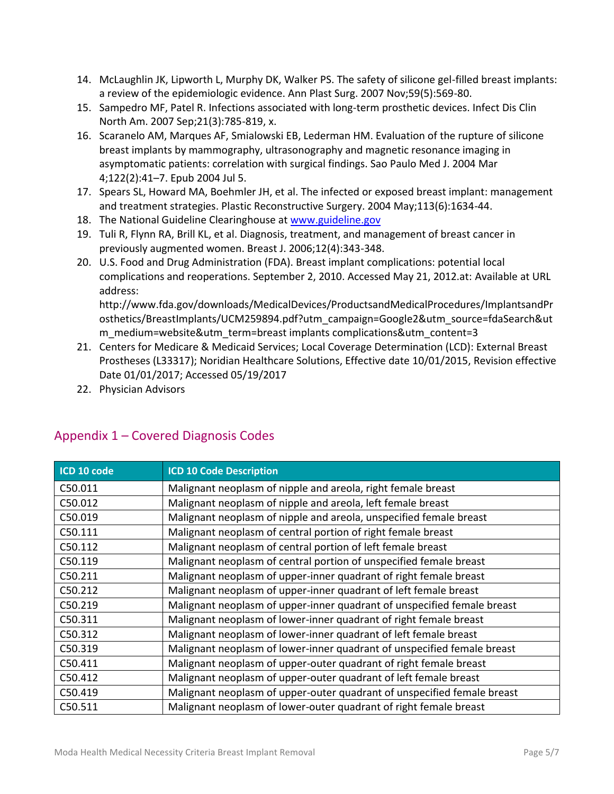- 14. McLaughlin JK, Lipworth L, Murphy DK, Walker PS. The safety of silicone gel-filled breast implants: a review of the epidemiologic evidence. Ann Plast Surg. 2007 Nov;59(5):569-80.
- 15. Sampedro MF, Patel R. Infections associated with long-term prosthetic devices. Infect Dis Clin North Am. 2007 Sep;21(3):785-819, x.
- 16. Scaranelo AM, Marques AF, Smialowski EB, Lederman HM. Evaluation of the rupture of silicone breast implants by mammography, ultrasonography and magnetic resonance imaging in asymptomatic patients: correlation with surgical findings. Sao Paulo Med J. 2004 Mar 4;122(2):41–7. Epub 2004 Jul 5.
- 17. Spears SL, Howard MA, Boehmler JH, et al. The infected or exposed breast implant: management and treatment strategies. Plastic Reconstructive Surgery. 2004 May;113(6):1634-44.
- 18. The National Guideline Clearinghouse a[t www.guideline.gov](http://www.guideline.gov/)
- 19. Tuli R, Flynn RA, Brill KL, et al. Diagnosis, treatment, and management of breast cancer in previously augmented women. Breast J. 2006;12(4):343-348.
- 20. U.S. Food and Drug Administration (FDA). Breast implant complications: potential local complications and reoperations. September 2, 2010. Accessed May 21, 2012.at: Available at URL address:

http://www.fda.gov/downloads/MedicalDevices/ProductsandMedicalProcedures/ImplantsandPr osthetics/BreastImplants/UCM259894.pdf?utm\_campaign=Google2&utm\_source=fdaSearch&ut m\_medium=website&utm\_term=breast implants complications&utm\_content=3

- 21. Centers for Medicare & Medicaid Services; Local Coverage Determination (LCD): External Breast Prostheses (L33317); Noridian Healthcare Solutions, Effective date 10/01/2015, Revision effective Date 01/01/2017; Accessed 05/19/2017
- 22. Physician Advisors

| ICD 10 code | <b>ICD 10 Code Description</b>                                          |
|-------------|-------------------------------------------------------------------------|
| C50.011     | Malignant neoplasm of nipple and areola, right female breast            |
| C50.012     | Malignant neoplasm of nipple and areola, left female breast             |
| C50.019     | Malignant neoplasm of nipple and areola, unspecified female breast      |
| C50.111     | Malignant neoplasm of central portion of right female breast            |
| C50.112     | Malignant neoplasm of central portion of left female breast             |
| C50.119     | Malignant neoplasm of central portion of unspecified female breast      |
| C50.211     | Malignant neoplasm of upper-inner quadrant of right female breast       |
| C50.212     | Malignant neoplasm of upper-inner quadrant of left female breast        |
| C50.219     | Malignant neoplasm of upper-inner quadrant of unspecified female breast |
| C50.311     | Malignant neoplasm of lower-inner quadrant of right female breast       |
| C50.312     | Malignant neoplasm of lower-inner quadrant of left female breast        |
| C50.319     | Malignant neoplasm of lower-inner quadrant of unspecified female breast |
| C50.411     | Malignant neoplasm of upper-outer quadrant of right female breast       |
| C50.412     | Malignant neoplasm of upper-outer quadrant of left female breast        |
| C50.419     | Malignant neoplasm of upper-outer quadrant of unspecified female breast |
| C50.511     | Malignant neoplasm of lower-outer quadrant of right female breast       |

# Appendix 1 – Covered Diagnosis Codes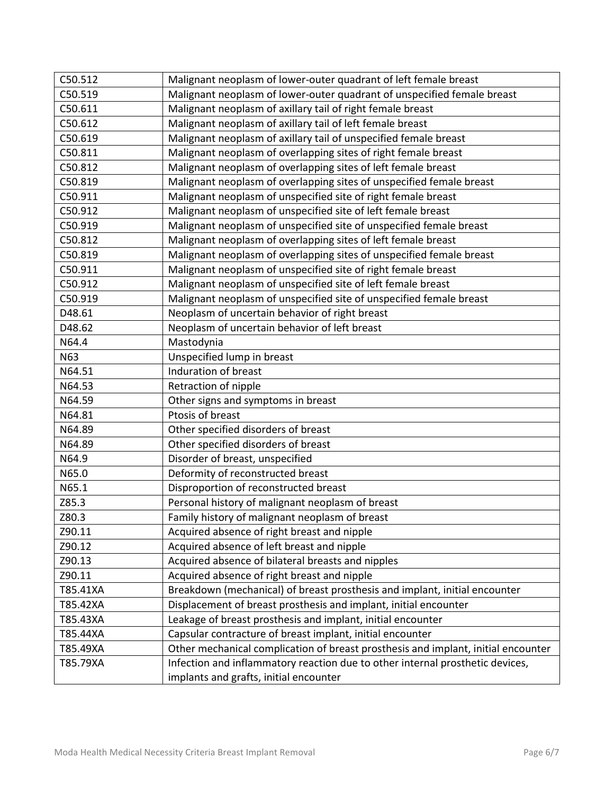| C50.512  | Malignant neoplasm of lower-outer quadrant of left female breast                  |
|----------|-----------------------------------------------------------------------------------|
| C50.519  | Malignant neoplasm of lower-outer quadrant of unspecified female breast           |
| C50.611  | Malignant neoplasm of axillary tail of right female breast                        |
| C50.612  | Malignant neoplasm of axillary tail of left female breast                         |
| C50.619  | Malignant neoplasm of axillary tail of unspecified female breast                  |
| C50.811  | Malignant neoplasm of overlapping sites of right female breast                    |
| C50.812  | Malignant neoplasm of overlapping sites of left female breast                     |
| C50.819  | Malignant neoplasm of overlapping sites of unspecified female breast              |
| C50.911  | Malignant neoplasm of unspecified site of right female breast                     |
| C50.912  | Malignant neoplasm of unspecified site of left female breast                      |
| C50.919  | Malignant neoplasm of unspecified site of unspecified female breast               |
| C50.812  | Malignant neoplasm of overlapping sites of left female breast                     |
| C50.819  | Malignant neoplasm of overlapping sites of unspecified female breast              |
| C50.911  | Malignant neoplasm of unspecified site of right female breast                     |
| C50.912  | Malignant neoplasm of unspecified site of left female breast                      |
| C50.919  | Malignant neoplasm of unspecified site of unspecified female breast               |
| D48.61   | Neoplasm of uncertain behavior of right breast                                    |
| D48.62   | Neoplasm of uncertain behavior of left breast                                     |
| N64.4    | Mastodynia                                                                        |
| N63      | Unspecified lump in breast                                                        |
| N64.51   | Induration of breast                                                              |
| N64.53   | Retraction of nipple                                                              |
| N64.59   | Other signs and symptoms in breast                                                |
|          |                                                                                   |
| N64.81   | Ptosis of breast                                                                  |
| N64.89   | Other specified disorders of breast                                               |
| N64.89   | Other specified disorders of breast                                               |
| N64.9    | Disorder of breast, unspecified                                                   |
| N65.0    | Deformity of reconstructed breast                                                 |
| N65.1    | Disproportion of reconstructed breast                                             |
| Z85.3    | Personal history of malignant neoplasm of breast                                  |
| Z80.3    | Family history of malignant neoplasm of breast                                    |
| Z90.11   | Acquired absence of right breast and nipple                                       |
| Z90.12   | Acquired absence of left breast and nipple                                        |
| Z90.13   | Acquired absence of bilateral breasts and nipples                                 |
| Z90.11   | Acquired absence of right breast and nipple                                       |
| T85.41XA | Breakdown (mechanical) of breast prosthesis and implant, initial encounter        |
| T85.42XA | Displacement of breast prosthesis and implant, initial encounter                  |
| T85.43XA | Leakage of breast prosthesis and implant, initial encounter                       |
| T85.44XA | Capsular contracture of breast implant, initial encounter                         |
| T85.49XA | Other mechanical complication of breast prosthesis and implant, initial encounter |
| T85.79XA | Infection and inflammatory reaction due to other internal prosthetic devices,     |